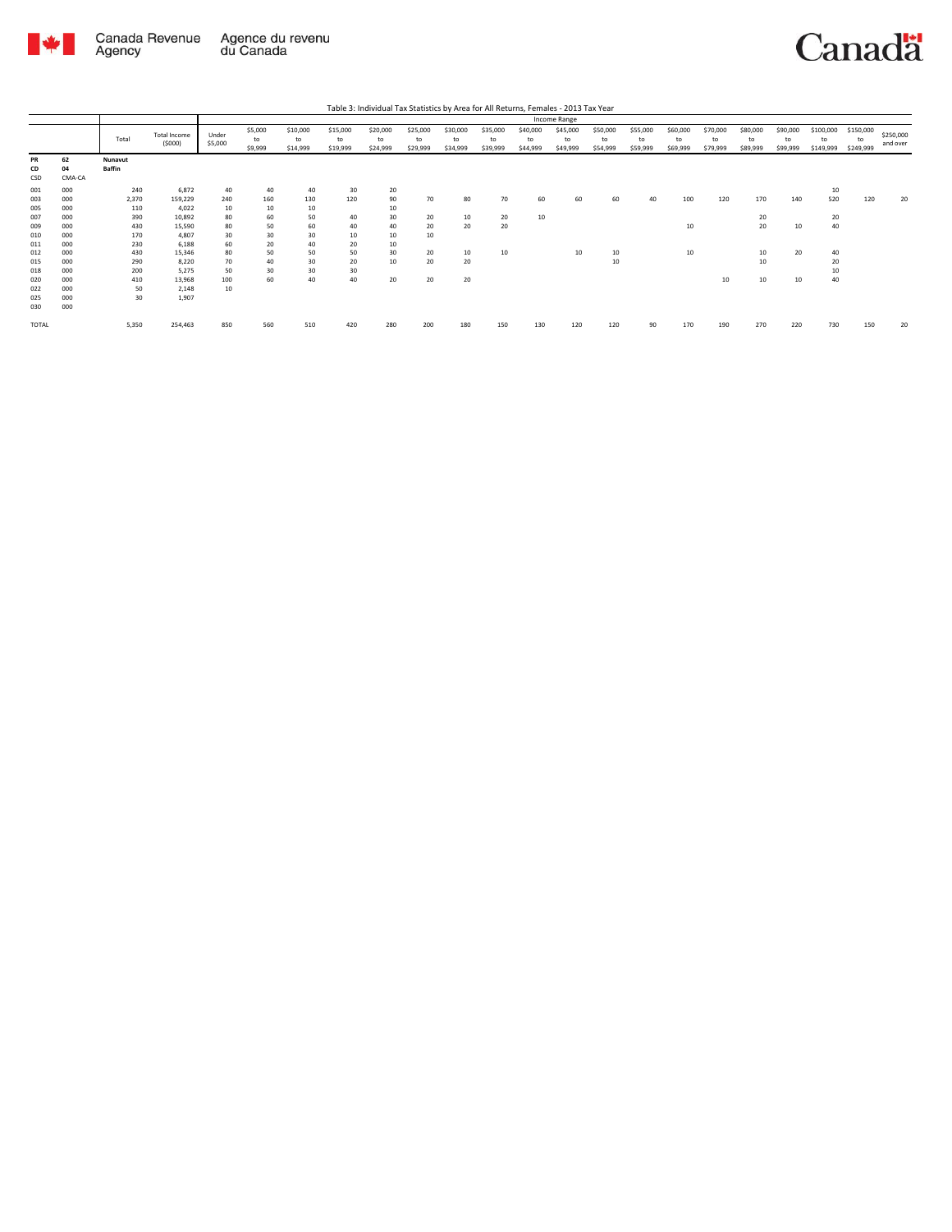

Canada Revenue Agence du revenu<br>Agency du Canada

Canadä

|                   |                    |                          |                           |                  |                          |                            |                            | Table 3: Individual Tax Statistics by Area for All Returns, Females - 2013 Tax Year |                            |                            |                            |                            |                            |                            |                            |                            |                            |                            |                            |                              |                              |                       |
|-------------------|--------------------|--------------------------|---------------------------|------------------|--------------------------|----------------------------|----------------------------|-------------------------------------------------------------------------------------|----------------------------|----------------------------|----------------------------|----------------------------|----------------------------|----------------------------|----------------------------|----------------------------|----------------------------|----------------------------|----------------------------|------------------------------|------------------------------|-----------------------|
|                   |                    |                          |                           |                  |                          |                            |                            |                                                                                     |                            |                            |                            |                            | Income Range               |                            |                            |                            |                            |                            |                            |                              |                              |                       |
|                   |                    | Total                    | Total Income<br>(5000)    | Under<br>\$5,000 | \$5,000<br>to<br>\$9,999 | \$10,000<br>to<br>\$14,999 | \$15,000<br>to<br>\$19,999 | \$20,000<br>to<br>\$24,999                                                          | \$25,000<br>to<br>\$29,999 | \$30,000<br>to<br>\$34,999 | \$35,000<br>to<br>\$39,999 | \$40,000<br>to<br>\$44,999 | \$45,000<br>to<br>\$49,999 | \$50,000<br>to<br>\$54,999 | \$55,000<br>to<br>\$59,999 | \$60,000<br>to<br>\$69,999 | \$70,000<br>to<br>\$79,999 | \$80,000<br>to<br>\$89,999 | \$90,000<br>to<br>\$99,999 | \$100,000<br>to<br>\$149,999 | \$150,000<br>to<br>\$249,999 | \$250,000<br>and over |
| PR<br>CD<br>CSD   | 62<br>04<br>CMA-CA | Nunavut<br><b>Baffin</b> |                           |                  |                          |                            |                            |                                                                                     |                            |                            |                            |                            |                            |                            |                            |                            |                            |                            |                            |                              |                              |                       |
| 001<br>003<br>005 | 000<br>000<br>000  | 240<br>2,370<br>110      | 6.872<br>159,229<br>4.022 | 40<br>240<br>10  | 40<br>160<br>10          | 40<br>130<br>10            | 30<br>120                  | 20<br>90<br>10                                                                      | 70                         | 80                         | 70                         | 60                         | 60                         | 60                         | 40                         | 100                        | 120                        | 170                        | 140                        | 10<br>520                    | 120                          | 20                    |
| 007<br>009        | 000<br>000         | 390<br>430               | 10,892<br>15,590          | 80<br>80         | 60<br>50                 | 50<br>60                   | 40<br>40                   | 30<br>40                                                                            | 20<br>20                   | 10<br>20                   | 20<br>20                   | 10                         |                            |                            |                            | 10                         |                            | 20<br>20                   | 10                         | 20<br>40                     |                              |                       |
| 010<br>011        | 000<br>000         | 170<br>230               | 4.807<br>6.188            | 30<br>60         | 30<br>20                 | 30<br>40                   | 10<br>20                   | 10<br>10                                                                            | 10                         |                            |                            |                            |                            |                            |                            |                            |                            |                            |                            |                              |                              |                       |
| 012<br>015<br>018 | 000<br>000<br>000  | 430<br>290<br>200        | 15.346<br>8.220<br>5.275  | 80<br>70<br>50   | 50<br>40<br>30           | 50<br>30<br>30             | 50<br>20<br>30             | 30<br>10                                                                            | 20<br>20                   | 10<br>20                   | 10                         |                            | 10                         | 10<br>10                   |                            | 10                         |                            | 10<br>10                   | 20                         | 40<br>20<br>10               |                              |                       |
| 020<br>022        | 000<br>000         | 410<br>50                | 13.968<br>2.148           | 100<br>10        | 60                       | 40                         | 40                         | 20                                                                                  | 20                         | 20                         |                            |                            |                            |                            |                            |                            | 10                         | 10                         | 10                         | 40                           |                              |                       |
| 025<br>030        | 000<br>000         | 30                       | 1,907                     |                  |                          |                            |                            |                                                                                     |                            |                            |                            |                            |                            |                            |                            |                            |                            |                            |                            |                              |                              |                       |
| <b>TOTAL</b>      |                    | 5,350                    | 254,463                   | 850              | 560                      | 510                        | 420                        | 280                                                                                 | 200                        | 180                        | 150                        | 130                        | 120                        | 120                        | 90                         | 170                        | 190                        | 270                        | 220                        | 730                          | 150                          | 20                    |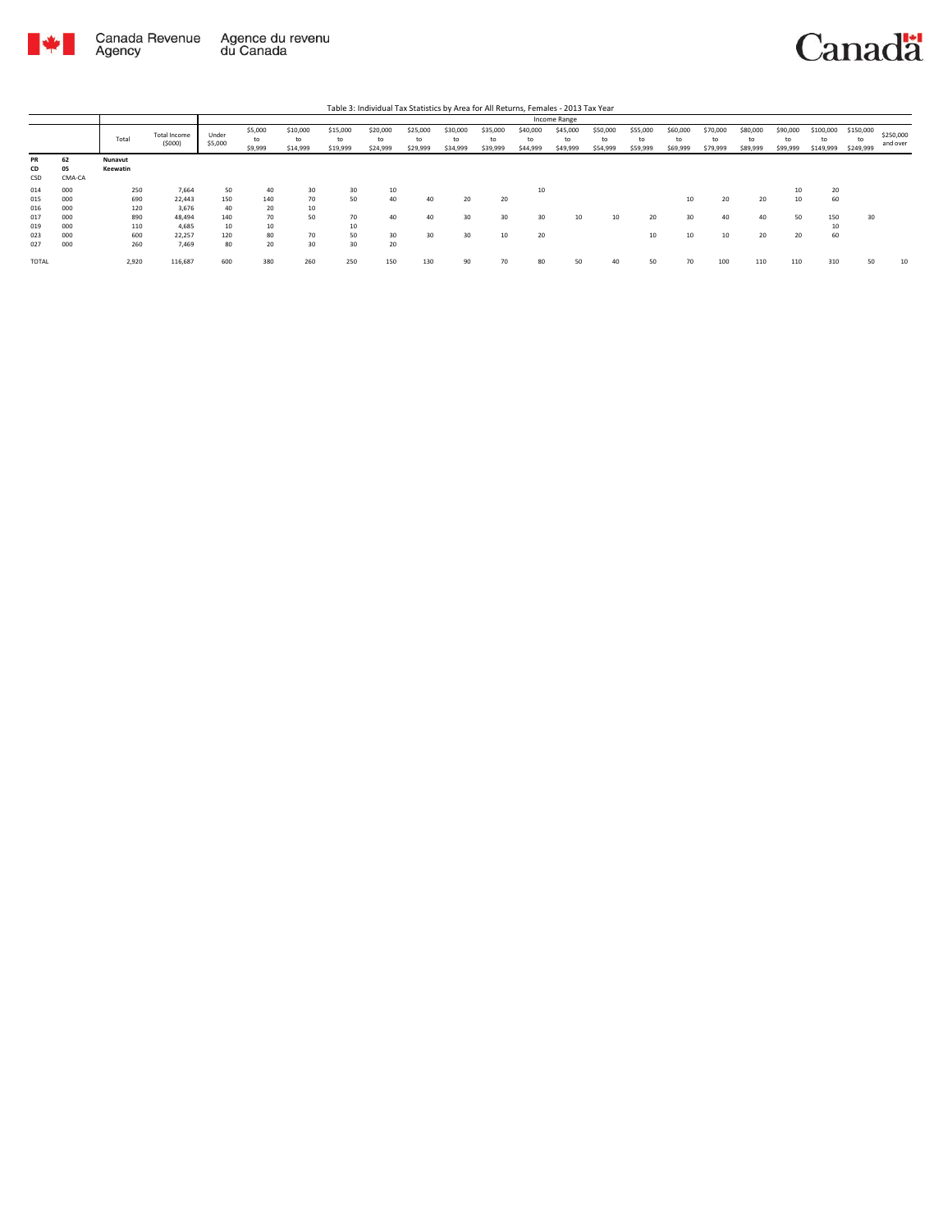

| Table 3: Individual Tax Statistics by Area for All Returns, Females - 2013 Tax Year |                    |                     |                        |                  |                          |                            |                            |                            |                            |                            |                            |                            |                            |                            |                            |                            |                            |                            |                            |                              |                              |                       |
|-------------------------------------------------------------------------------------|--------------------|---------------------|------------------------|------------------|--------------------------|----------------------------|----------------------------|----------------------------|----------------------------|----------------------------|----------------------------|----------------------------|----------------------------|----------------------------|----------------------------|----------------------------|----------------------------|----------------------------|----------------------------|------------------------------|------------------------------|-----------------------|
|                                                                                     |                    |                     |                        |                  |                          |                            |                            |                            |                            |                            |                            |                            | Income Range               |                            |                            |                            |                            |                            |                            |                              |                              |                       |
|                                                                                     |                    | Total               | Total Income<br>(5000) | Under<br>\$5,000 | \$5,000<br>to<br>\$9,999 | \$10,000<br>to<br>\$14,999 | \$15,000<br>to<br>\$19,999 | \$20,000<br>to<br>\$24,999 | \$25,000<br>to<br>\$29,999 | \$30,000<br>to<br>\$34,999 | \$35,000<br>to<br>\$39,999 | \$40,000<br>to<br>\$44,999 | \$45,000<br>to<br>\$49,999 | \$50,000<br>to<br>\$54,999 | \$55,000<br>to<br>\$59,999 | \$60,000<br>to<br>\$69,999 | \$70,000<br>to<br>\$79,999 | \$80,000<br>to<br>\$89,999 | \$90,000<br>to<br>\$99,999 | \$100,000<br>to<br>\$149,999 | \$150,000<br>to<br>\$249,999 | \$250,000<br>and over |
| PR<br>CD<br>CSD                                                                     | 62<br>05<br>CMA-CA | Nunavut<br>Keewatin |                        |                  |                          |                            |                            |                            |                            |                            |                            |                            |                            |                            |                            |                            |                            |                            |                            |                              |                              |                       |
| 014                                                                                 | 000                | 250                 | 7.664                  | 50               | 40                       | 30                         | 30                         | 10                         |                            |                            |                            | 10                         |                            |                            |                            |                            |                            |                            |                            | 20                           |                              |                       |
| 015                                                                                 | 000                | 690                 | 22,443                 | 150              | 140                      | 70                         | 50                         | 40                         | 40                         | 20                         | 20                         |                            |                            |                            |                            | 10                         | 20                         | 20                         | 10                         | 60                           |                              |                       |
| 016                                                                                 | 000                | 120                 | 3.676                  | 40               | 20                       | 10                         |                            |                            |                            |                            |                            |                            |                            |                            |                            |                            |                            |                            |                            |                              |                              |                       |
| 017                                                                                 | 000                | 890                 | 48.494                 | 140              | 70                       | 50                         | 70                         | 40                         | 40                         | 30                         | 30                         | 30                         | 10                         | 10                         | 20                         | 30                         | 40                         | 40                         | 50                         | 150                          | 30                           |                       |
| 019                                                                                 | 000                | 110                 | 4.685                  | 10               | 10                       |                            | 10                         |                            |                            |                            |                            |                            |                            |                            |                            |                            |                            |                            |                            | 10                           |                              |                       |
| 023                                                                                 | 000                | 600                 | 22.257                 | 120              | 80                       | 70                         | 50                         | 30                         | 30                         | 30                         | 10                         | 20                         |                            |                            | 10                         | 10                         | 10                         | 20                         | 20                         | 60                           |                              |                       |
| 027                                                                                 | 000                | 260                 | 7.469                  | 80               | 20                       | 30                         | 30                         | 20                         |                            |                            |                            |                            |                            |                            |                            |                            |                            |                            |                            |                              |                              |                       |
| TOTAL                                                                               |                    | 2,920               | 116,687                | 600              | 380                      | 260                        | 250                        | 150                        | 130                        | 90                         | 70                         | 80                         | 50                         | 40                         | 50                         | 70                         | 100                        | 110                        | 110                        | 310                          | 50                           | 10                    |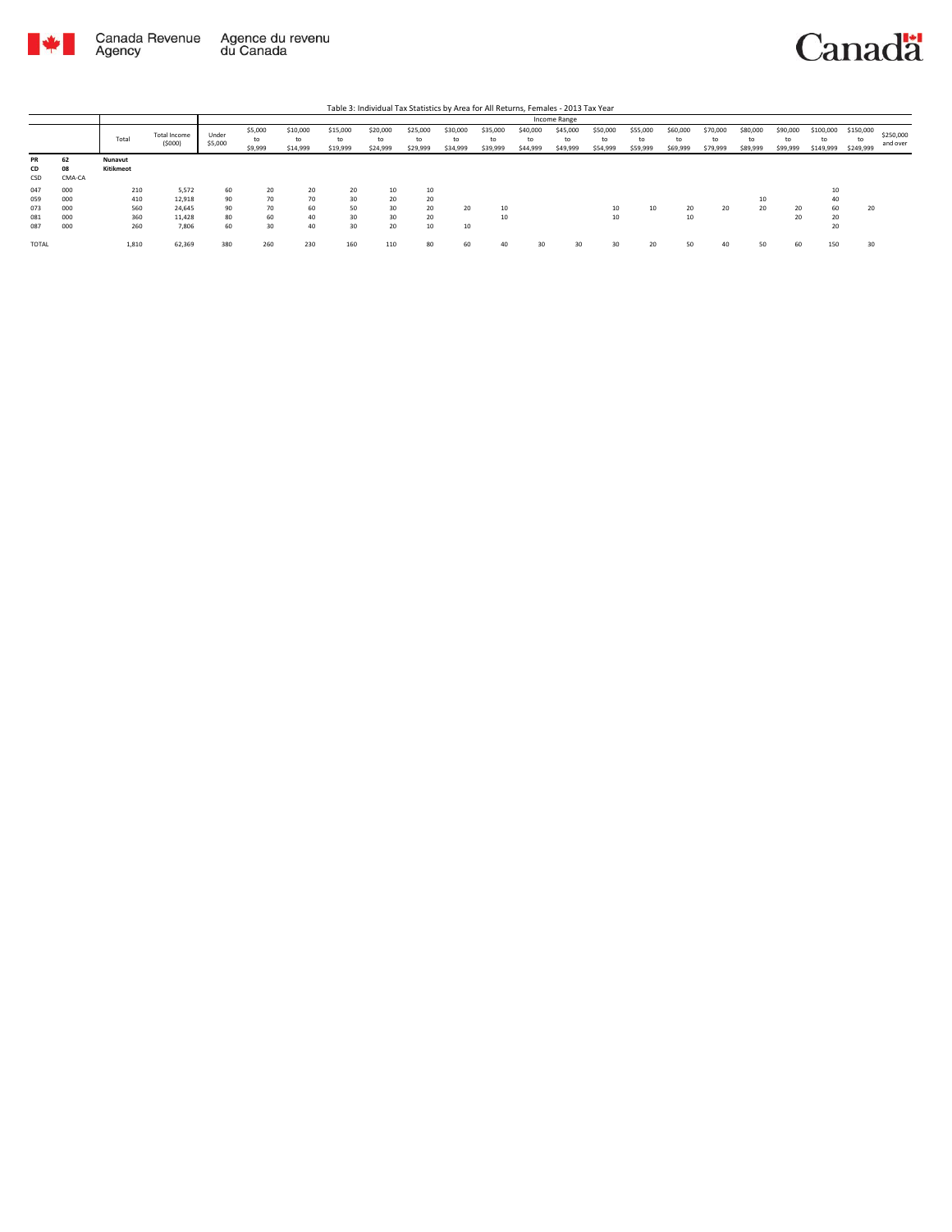

## Canadä

|                                 | Table 3: Individual Tax Statistics by Area for All Returns, Females - 2013 Tax Year |                                 |                                              |                            |                            |                            |                            |                            |                            |                            |                            |                            |                            |                            |                            |                            |                      |                            |                            |                              |                              |                       |
|---------------------------------|-------------------------------------------------------------------------------------|---------------------------------|----------------------------------------------|----------------------------|----------------------------|----------------------------|----------------------------|----------------------------|----------------------------|----------------------------|----------------------------|----------------------------|----------------------------|----------------------------|----------------------------|----------------------------|----------------------|----------------------------|----------------------------|------------------------------|------------------------------|-----------------------|
|                                 |                                                                                     |                                 |                                              |                            |                            |                            |                            |                            |                            |                            |                            |                            | Income Range               |                            |                            |                            |                      |                            |                            |                              |                              |                       |
|                                 |                                                                                     | Total                           | Total Income<br>(5000)                       | Under<br>\$5,000           | \$5,000<br>to<br>\$9,999   | \$10,000<br>to<br>\$14,999 | \$15,000<br>to<br>\$19,999 | \$20,000<br>to<br>\$24,999 | \$25,000<br>to<br>\$29,999 | \$30,000<br>to<br>\$34,999 | \$35,000<br>to<br>\$39,999 | \$40,000<br>to<br>\$44,999 | \$45,000<br>to<br>\$49,999 | \$50,000<br>to<br>\$54,999 | \$55,000<br>to<br>\$59,999 | \$60,000<br>to<br>\$69,999 | \$70,000<br>\$79,999 | \$80,000<br>to<br>\$89,999 | \$90,000<br>to<br>\$99,999 | \$100,000<br>to<br>\$149,999 | \$150,000<br>to<br>\$249,999 | \$250,000<br>and over |
| <b>PR</b><br>CD<br>CSD          | 62<br>08<br>CMA-CA                                                                  | Nunavut<br>Kitikmeot            |                                              |                            |                            |                            |                            |                            |                            |                            |                            |                            |                            |                            |                            |                            |                      |                            |                            |                              |                              |                       |
| 047<br>059<br>073<br>081<br>087 | 000<br>000<br>000<br>000<br>000                                                     | 210<br>410<br>560<br>360<br>260 | 5.572<br>12,918<br>24.645<br>11.428<br>7,806 | 60<br>90<br>90<br>80<br>60 | 20<br>70<br>70<br>60<br>30 | 20<br>70<br>60<br>40<br>40 | 20<br>30<br>50<br>30<br>30 | 10<br>20<br>30<br>30<br>20 | 10<br>20<br>20<br>20<br>10 | 20<br>10                   | 10<br>10                   |                            |                            | 10<br>10                   | 10                         | 20<br>10                   | 20                   | 20                         | 20<br>20                   | 10<br>40<br>60<br>20<br>20   | 20                           |                       |
| TOTAL                           |                                                                                     | 1.810                           | 62.369                                       | 380                        | 260                        | 230                        | 160                        | 110                        | 80                         | 60                         | 40                         | $30^{\circ}$               | $30^{\circ}$               | $30^{\circ}$               | 20                         | 50                         | 40                   | 50                         | 60                         | 150                          | $30^{\circ}$                 |                       |